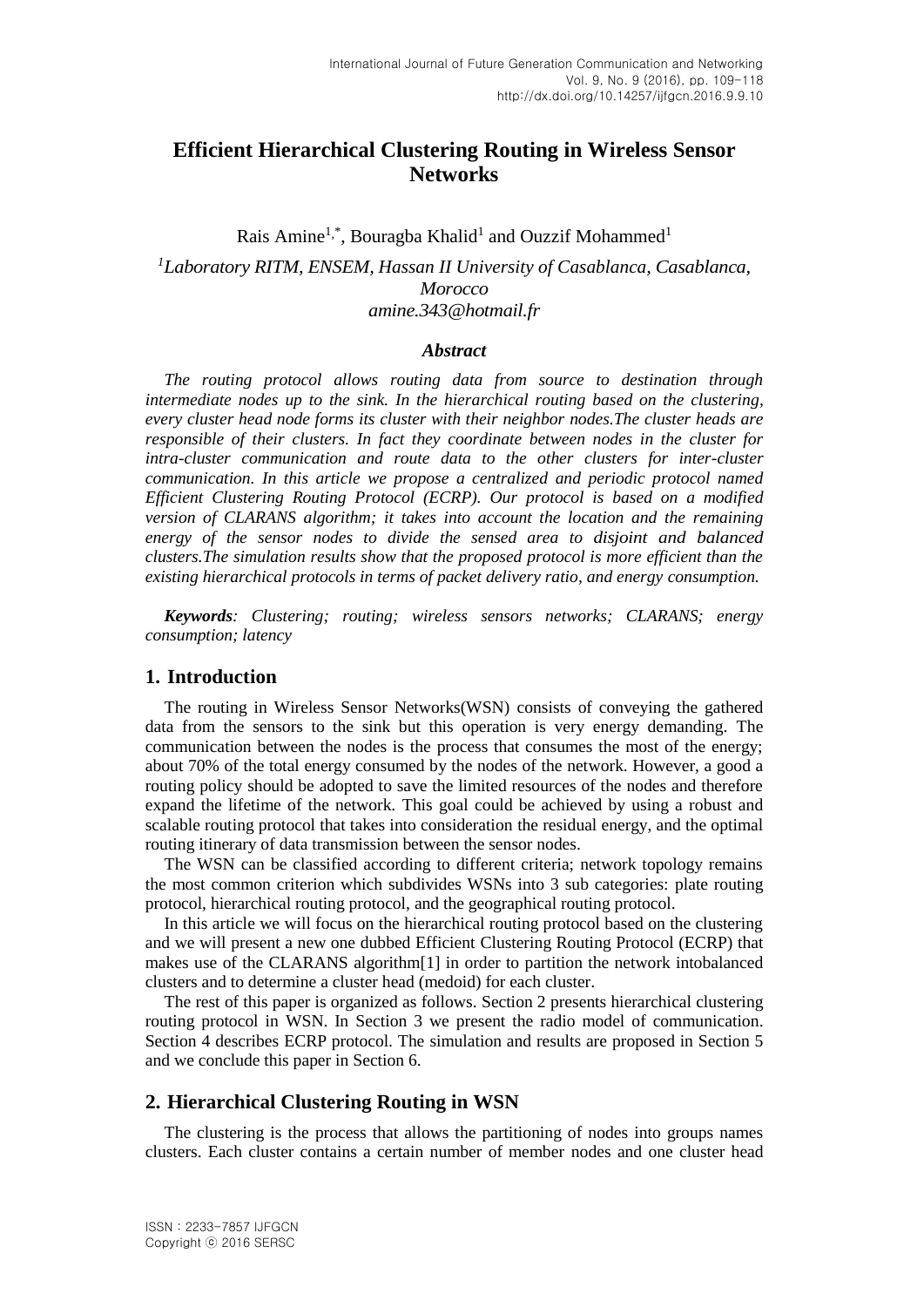# **Efficient Hierarchical Clustering Routing in Wireless Sensor Networks**

Rais Amine<sup>1,\*</sup>, Bouragba Khalid<sup>1</sup> and Ouzzif Mohammed<sup>1</sup> *<sup>1</sup>Laboratory RITM, ENSEM, Hassan II University of Casablanca, Casablanca,*

*Morocco*

*amine.343@hotmail.fr*

### *Abstract*

*The routing protocol allows routing data from source to destination through intermediate nodes up to the sink. In the hierarchical routing based on the clustering, every cluster head node forms its cluster with their neighbor nodes.The cluster heads are responsible of their clusters. In fact they coordinate between nodes in the cluster for intra-cluster communication and route data to the other clusters for inter-cluster communication. In this article we propose a centralized and periodic protocol named Efficient Clustering Routing Protocol (ECRP). Our protocol is based on a modified version of CLARANS algorithm; it takes into account the location and the remaining energy of the sensor nodes to divide the sensed area to disjoint and balanced clusters.The simulation results show that the proposed protocol is more efficient than the existing hierarchical protocols in terms of packet delivery ratio, and energy consumption.*

*Keywords: Clustering; routing; wireless sensors networks; CLARANS; energy consumption; latency*

## **1. Introduction**

The routing in Wireless Sensor Networks(WSN) consists of conveying the gathered data from the sensors to the sink but this operation is very energy demanding. The communication between the nodes is the process that consumes the most of the energy; about 70% of the total energy consumed by the nodes of the network. However, a good a routing policy should be adopted to save the limited resources of the nodes and therefore expand the lifetime of the network. This goal could be achieved by using a robust and scalable routing protocol that takes into consideration the residual energy, and the optimal routing itinerary of data transmission between the sensor nodes.

The WSN can be classified according to different criteria; network topology remains the most common criterion which subdivides WSNs into 3 sub categories: plate routing protocol, hierarchical routing protocol, and the geographical routing protocol.

In this article we will focus on the hierarchical routing protocol based on the clustering and we will present a new one dubbed Efficient Clustering Routing Protocol (ECRP) that makes use of the CLARANS algorithm[1] in order to partition the network intobalanced clusters and to determine a cluster head (medoid) for each cluster.

The rest of this paper is organized as follows. Section 2 presents hierarchical clustering routing protocol in WSN. In Section 3 we present the radio model of communication. Section 4 describes ECRP protocol. The simulation and results are proposed in Section 5 and we conclude this paper in Section 6.

## **2. Hierarchical Clustering Routing in WSN**

The clustering is the process that allows the partitioning of nodes into groups names clusters. Each cluster contains a certain number of member nodes and one cluster head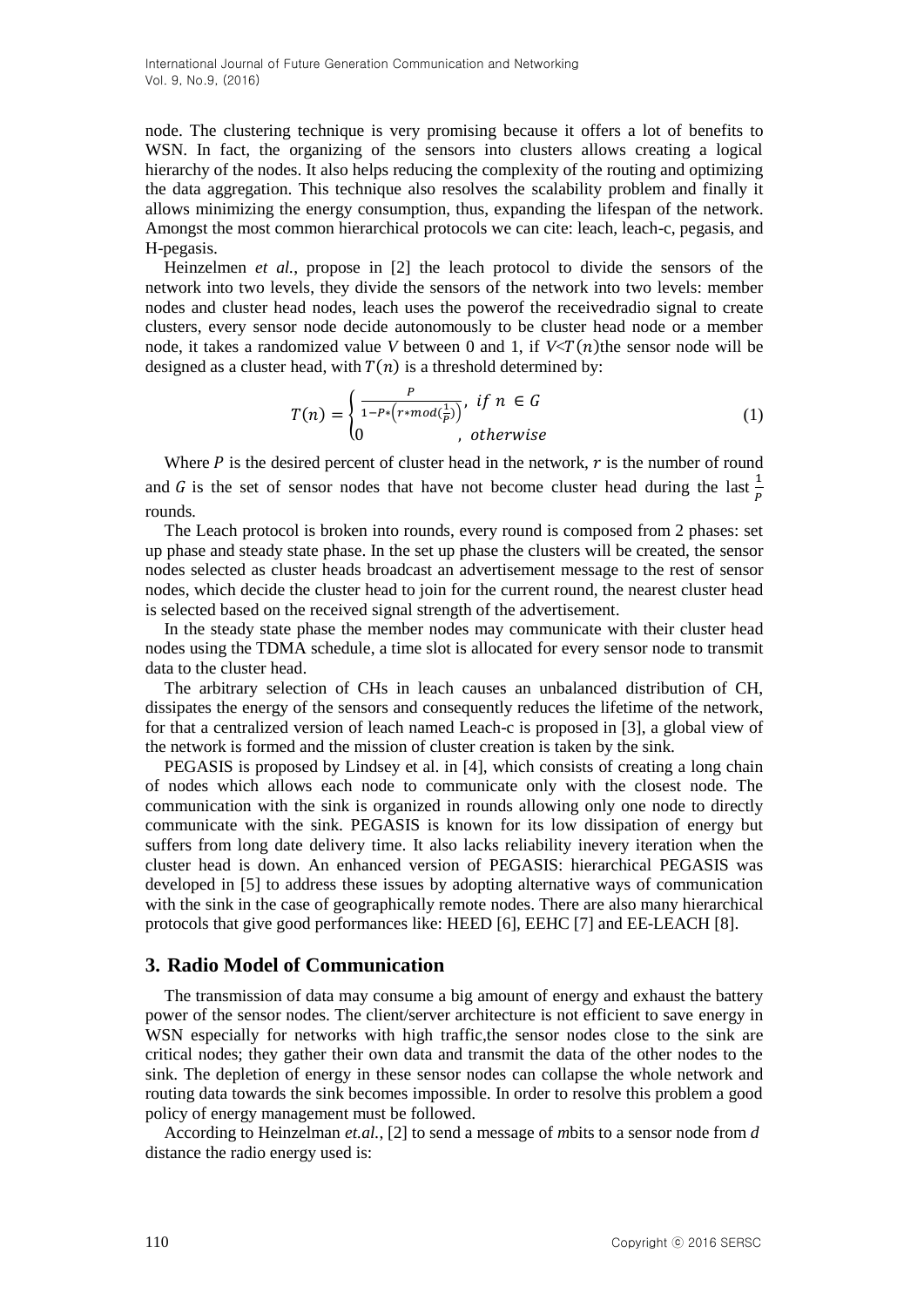node. The clustering technique is very promising because it offers a lot of benefits to WSN. In fact, the organizing of the sensors into clusters allows creating a logical hierarchy of the nodes. It also helps reducing the complexity of the routing and optimizing the data aggregation. This technique also resolves the scalability problem and finally it allows minimizing the energy consumption, thus, expanding the lifespan of the network. Amongst the most common hierarchical protocols we can cite: leach, leach-c, pegasis, and H-pegasis.

Heinzelmen *et al.*, propose in [2] the leach protocol to divide the sensors of the network into two levels, they divide the sensors of the network into two levels: member nodes and cluster head nodes, leach uses the powerof the receivedradio signal to create clusters, every sensor node decide autonomously to be cluster head node or a member node, it takes a randomized value *V* between 0 and 1, if  $V(T(n))$ the sensor node will be designed as a cluster head, with  $T(n)$  is a threshold determined by:

$$
T(n) = \begin{cases} \frac{P}{1 - P*(r * mod(\frac{1}{P}))}, & \text{if } n \in G \\ 0 & \text{, otherwise} \end{cases}
$$
 (1)

Where  $P$  is the desired percent of cluster head in the network,  $r$  is the number of round and G is the set of sensor nodes that have not become cluster head during the last  $\frac{1}{p}$ rounds.

The Leach protocol is broken into rounds, every round is composed from 2 phases: set up phase and steady state phase. In the set up phase the clusters will be created, the sensor nodes selected as cluster heads broadcast an advertisement message to the rest of sensor nodes, which decide the cluster head to join for the current round, the nearest cluster head is selected based on the received signal strength of the advertisement.

In the steady state phase the member nodes may communicate with their cluster head nodes using the TDMA schedule, a time slot is allocated for every sensor node to transmit data to the cluster head.

The arbitrary selection of CHs in leach causes an unbalanced distribution of CH, dissipates the energy of the sensors and consequently reduces the lifetime of the network, for that a centralized version of leach named Leach-c is proposed in [3], a global view of the network is formed and the mission of cluster creation is taken by the sink.

PEGASIS is proposed by Lindsey et al. in [4], which consists of creating a long chain of nodes which allows each node to communicate only with the closest node. The communication with the sink is organized in rounds allowing only one node to directly communicate with the sink. PEGASIS is known for its low dissipation of energy but suffers from long date delivery time. It also lacks reliability inevery iteration when the cluster head is down. An enhanced version of PEGASIS: hierarchical PEGASIS was developed in [5] to address these issues by adopting alternative ways of communication with the sink in the case of geographically remote nodes. There are also many hierarchical protocols that give good performances like: HEED [6], EEHC [7] and EE-LEACH [8].

## **3. Radio Model of Communication**

The transmission of data may consume a big amount of energy and exhaust the battery power of the sensor nodes. The client/server architecture is not efficient to save energy in WSN especially for networks with high traffic,the sensor nodes close to the sink are critical nodes; they gather their own data and transmit the data of the other nodes to the sink. The depletion of energy in these sensor nodes can collapse the whole network and routing data towards the sink becomes impossible. In order to resolve this problem a good policy of energy management must be followed.

According to Heinzelman *et.al.*, [2] to send a message of *m*bits to a sensor node from *d* distance the radio energy used is: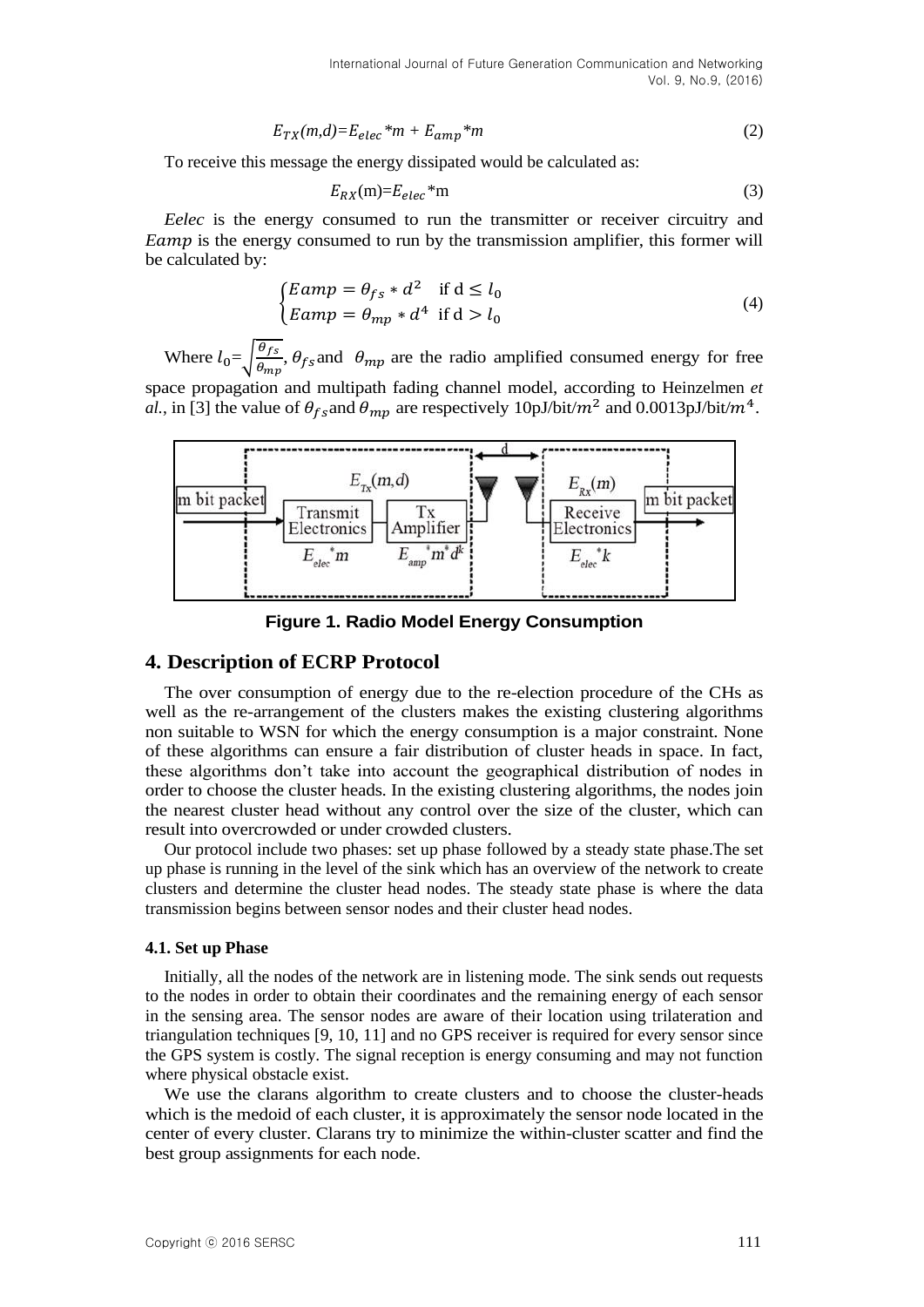$$
E_{TX}(m,d) = E_{elec} * m + E_{amp} * m \tag{2}
$$

To receive this message the energy dissipated would be calculated as:

$$
E_{RX}(m) = E_{elec} * m \tag{3}
$$

*Eelec* is the energy consumed to run the transmitter or receiver circuitry and *Eamp* is the energy consumed to run by the transmission amplifier, this former will be calculated by:

$$
\begin{cases} Eamp = \theta_{fs} * d^2 & \text{if } d \le l_0 \\ Eamp = \theta_{mp} * d^4 & \text{if } d > l_0 \end{cases}
$$
\n(4)

Where  $l_0 = \sqrt{\frac{\theta_{fs}}{\theta_{\text{max}}}}$  $\frac{\partial f_S}{\partial m_p}$ ,  $\theta_{fs}$  and  $\theta_{mp}$  are the radio amplified consumed energy for free space propagation and multipath fading channel model, according to Heinzelmen *et*  al., in [3] the value of  $\theta_{fs}$  and  $\theta_{mp}$  are respectively 10pJ/bit/ $m^2$  and 0.0013pJ/bit/ $m^4$ .



**Figure 1. Radio Model Energy Consumption**

### **4. Description of ECRP Protocol**

The over consumption of energy due to the re-election procedure of the CHs as well as the re-arrangement of the clusters makes the existing clustering algorithms non suitable to WSN for which the energy consumption is a major constraint. None of these algorithms can ensure a fair distribution of cluster heads in space. In fact, these algorithms don't take into account the geographical distribution of nodes in order to choose the cluster heads. In the existing clustering algorithms, the nodes join the nearest cluster head without any control over the size of the cluster, which can result into overcrowded or under crowded clusters.

Our protocol include two phases: set up phase followed by a steady state phase.The set up phase is running in the level of the sink which has an overview of the network to create clusters and determine the cluster head nodes. The steady state phase is where the data transmission begins between sensor nodes and their cluster head nodes.

#### **4.1. Set up Phase**

Initially, all the nodes of the network are in listening mode. The sink sends out requests to the nodes in order to obtain their coordinates and the remaining energy of each sensor in the sensing area. The sensor nodes are aware of their location using trilateration and triangulation techniques [9, 10, 11] and no GPS receiver is required for every sensor since the GPS system is costly. The signal reception is energy consuming and may not function where physical obstacle exist.

We use the clarans algorithm to create clusters and to choose the cluster-heads which is the medoid of each cluster, it is approximately the sensor node located in the center of every cluster. Clarans try to minimize the within-cluster scatter and find the best group assignments for each node.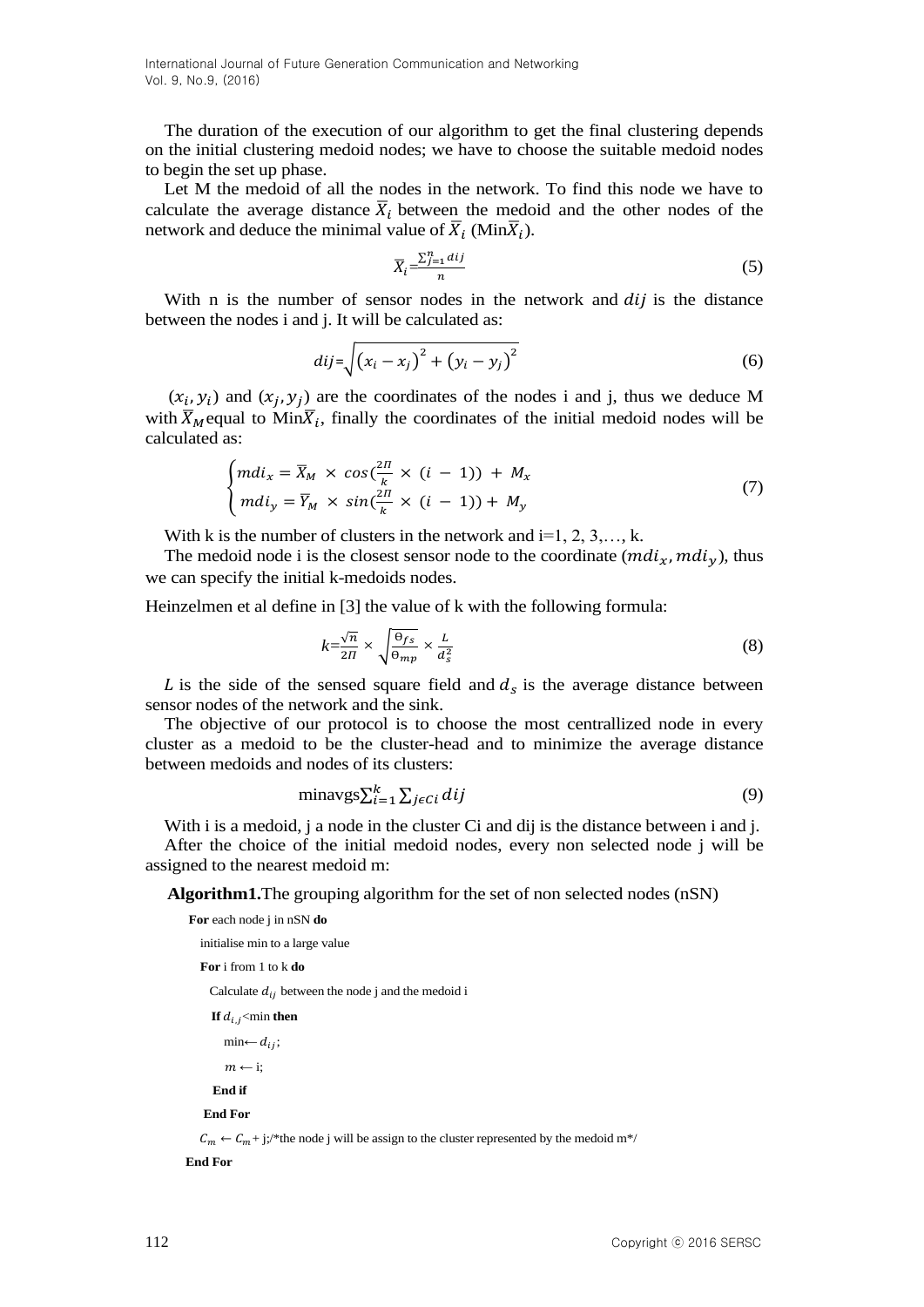The duration of the execution of our algorithm to get the final clustering depends on the initial clustering medoid nodes; we have to choose the suitable medoid nodes to begin the set up phase.

Let M the medoid of all the nodes in the network. To find this node we have to calculate the average distance  $\overline{X}_i$  between the medoid and the other nodes of the network and deduce the minimal value of  $\overline{X}_i$  (Min $\overline{X}_i$ ).

$$
\overline{X}_i = \frac{\sum_{j=1}^n dij}{n} \tag{5}
$$

With n is the number of sensor nodes in the network and  $di\dot{j}$  is the distance between the nodes i and j. It will be calculated as:

$$
dij = \sqrt{(x_i - x_j)^2 + (y_i - y_j)^2}
$$
 (6)

 $(x_i, y_i)$  and  $(x_j, y_j)$  are the coordinates of the nodes i and j, thus we deduce M with  $\overline{X}_M$  equal to Min $\overline{X}_i$ , finally the coordinates of the initial medoid nodes will be calculated as:

$$
\begin{cases} mdi_x = \overline{X}_M \times \cos(\frac{2\pi}{k} \times (i-1)) + M_x \\ mdi_y = \overline{Y}_M \times \sin(\frac{2\pi}{k} \times (i-1)) + M_y \end{cases}
$$
 (7)

With k is the number of clusters in the network and  $i=1, 2, 3, \ldots, k$ .

The medoid node i is the closest sensor node to the coordinate  $(mdi_x, mdi_y)$ , thus we can specify the initial k-medoids nodes.

Heinzelmen et al define in [3] the value of k with the following formula:

$$
k = \frac{\sqrt{n}}{2I} \times \sqrt{\frac{\Theta_{fs}}{\Theta_{mp}}} \times \frac{L}{d_s^2}
$$
 (8)

L is the side of the sensed square field and  $d_s$  is the average distance between sensor nodes of the network and the sink.

The objective of our protocol is to choose the most centrallized node in every cluster as a medoid to be the cluster-head and to minimize the average distance between medoids and nodes of its clusters:

$$
\text{minavgs} \sum_{i=1}^{k} \sum_{j \in Ci} dij \tag{9}
$$

With i is a medoid, j a node in the cluster Ci and dij is the distance between i and j. After the choice of the initial medoid nodes, every non selected node j will be assigned to the nearest medoid m:

**Algorithm1.**The grouping algorithm for the set of non selected nodes (nSN)

 **For** each node j in nSN **do**

initialise min to a large value **For** i from 1 to k **do** Calculate  $d_{ij}$  between the node j and the medoid i

**If**  $d_{i,j}$ <min **then** 

 $\min \leftarrow d_{ij};$ 

 $m \leftarrow i$ :

 **End if**

**End For**

 $C_m \leftarrow C_m + j$ ;/\*the node j will be assign to the cluster represented by the medoid m\*/

 **End For**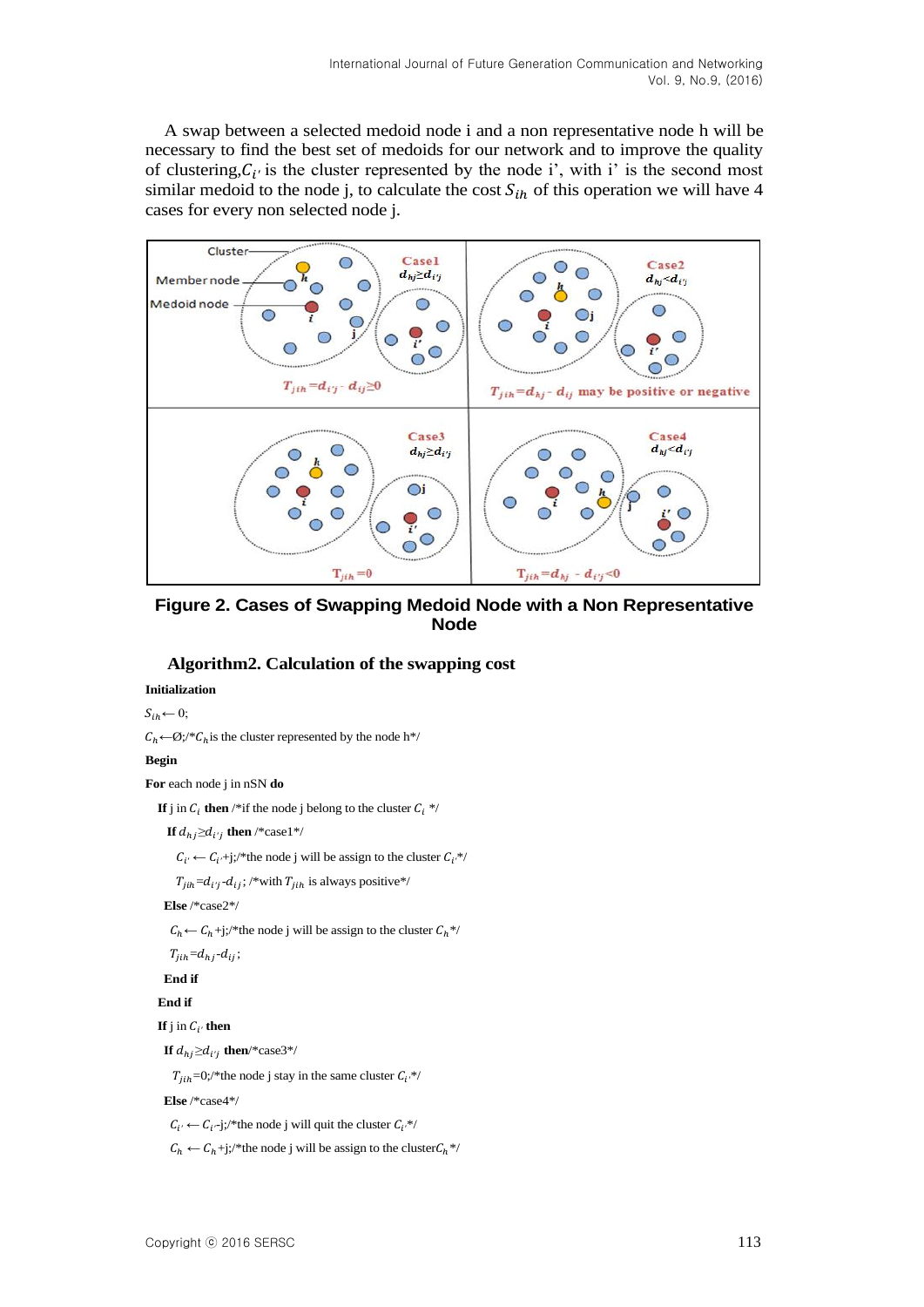A swap between a selected medoid node i and a non representative node h will be necessary to find the best set of medoids for our network and to improve the quality of clustering, $C_{i'}$  is the cluster represented by the node i', with i' is the second most similar medoid to the node j, to calculate the cost  $S_{ih}$  of this operation we will have 4 cases for every non selected node j.



**Figure 2. Cases of Swapping Medoid Node with a Non Representative Node**

### **Algorithm2. Calculation of the swapping cost**

### **Initialization**

 $S_{ih} \leftarrow 0;$ 

 $C_h \leftarrow \emptyset$ ;/\* $C_h$  is the cluster represented by the node h\*/

**Begin**

#### **For** each node j in nSN **do**

**If** j in  $C_i$  then /\*if the node j belong to the cluster  $C_i$  \*/

**If**  $d_{hj} \geq d_{i'j}$  then /\*case1\*/

 $C_i \leftarrow C_i + j$ ;/\*the node j will be assign to the cluster  $C_i$ \*/

 $T_{jih} = d_{ij}$ ; /\*with  $T_{jih}$  is always positive\*/

 **Else** /\*case2\*/

 $C_h \leftarrow C_h + j$ ;/\*the node j will be assign to the cluster  $C_h$ \*/

```
T_{jih} = d_{hj} - d_{ij};
```
 **End if**

 **End if**

 **If** j in  $C_i$  then

**If**  $d_{hj} \geq d_{i'j}$  **then**/\*case3\*/

 $T_{iih}$ =0;/\*the node j stay in the same cluster  $C_i$ <sup>\*/</sup>/

 **Else** /\*case4\*/

 $C_{i'} \leftarrow C_{i'-j}$ ;/\*the node j will quit the cluster  $C_{i'}$ \*/

 $C_h \leftarrow C_h + j$ ;/\*the node j will be assign to the cluster $C_h$ \*/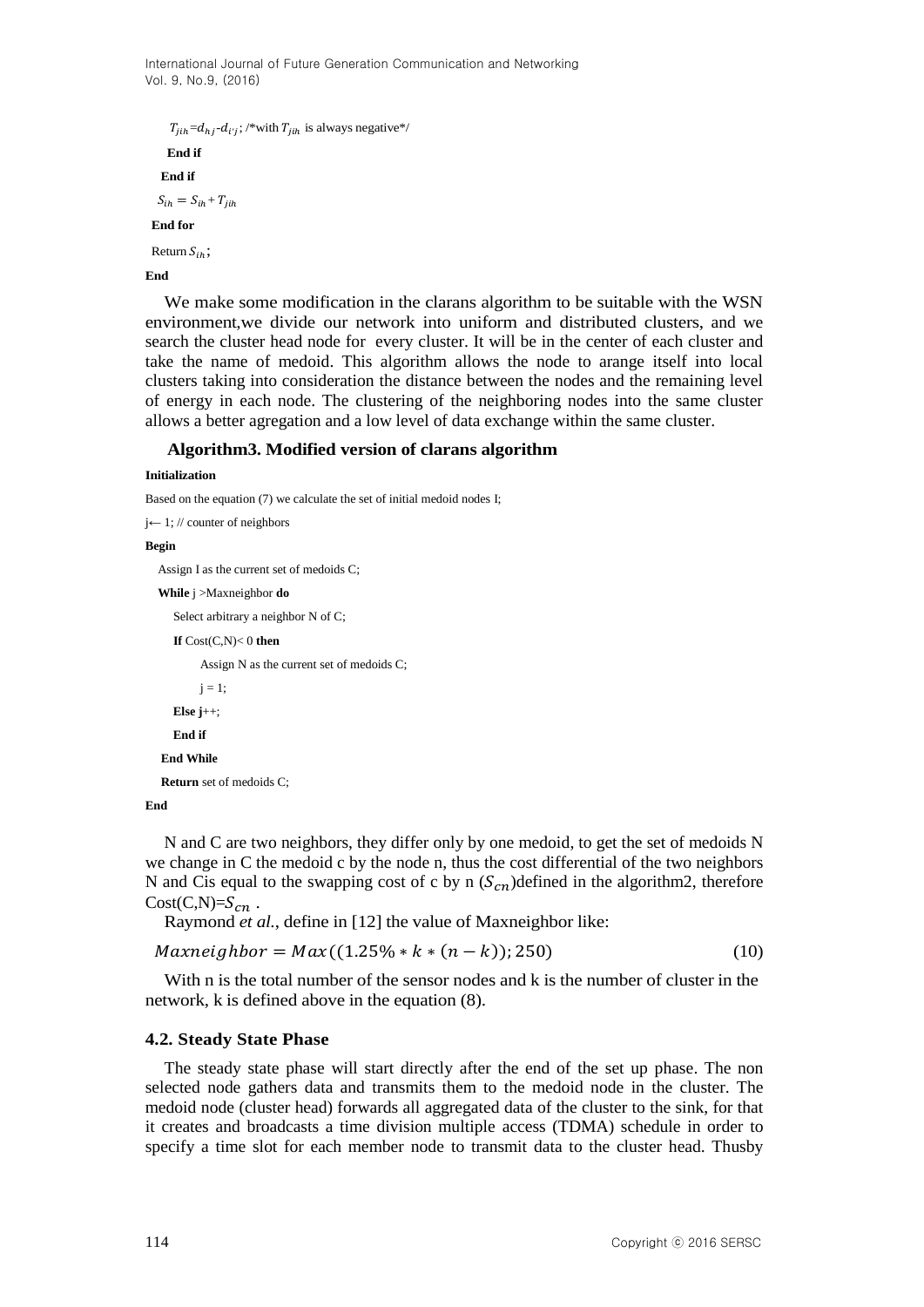```
T_{jih} = d_{hj} - d_{i'j}; /*with T_{jih} is always negative*/
    End if 
   End if
 S_{ih} = S_{ih} + T_{jih} End for
Return S_{ih};
```
**End** 

We make some modification in the clarans algorithm to be suitable with the WSN environment,we divide our network into uniform and distributed clusters, and we search the cluster head node for every cluster. It will be in the center of each cluster and take the name of medoid. This algorithm allows the node to arange itself into local clusters taking into consideration the distance between the nodes and the remaining level of energy in each node. The clustering of the neighboring nodes into the same cluster allows a better agregation and a low level of data exchange within the same cluster.

### **Algorithm3. Modified version of clarans algorithm**

#### **Initialization**

Based on the equation (7) we calculate the set of initial medoid nodes I;

```
j← 1; // counter of neighbors
```
#### **Begin**

Assign I as the current set of medoids C;

 **While** j >Maxneighbor **do**

Select arbitrary a neighbor N of C;

 **If** Cost(C,N)< 0 **then** Assign N as the current set of medoids C;  $j = 1;$  **Else j**++; **End if End While**

 **Return** set of medoids C;

**End**

N and C are two neighbors, they differ only by one medoid, to get the set of medoids N we change in C the medoid c by the node n, thus the cost differential of the two neighbors N and Cis equal to the swapping cost of c by n  $(S<sub>cn</sub>)$  defined in the algorithm2, therefore  $Cost(C,N)=S_{cn}$ .

Raymond *et al.*, define in [12] the value of Maxneighbor like:

$$
Maxneighbor = Max((1.25\% * k * (n - k)); 250)
$$
\n(10)

With n is the total number of the sensor nodes and k is the number of cluster in the network, k is defined above in the equation (8).

### **4.2. Steady State Phase**

The steady state phase will start directly after the end of the set up phase. The non selected node gathers data and transmits them to the medoid node in the cluster. The medoid node (cluster head) forwards all aggregated data of the cluster to the sink, for that it creates and broadcasts a time division multiple access (TDMA) schedule in order to specify a time slot for each member node to transmit data to the cluster head. Thusby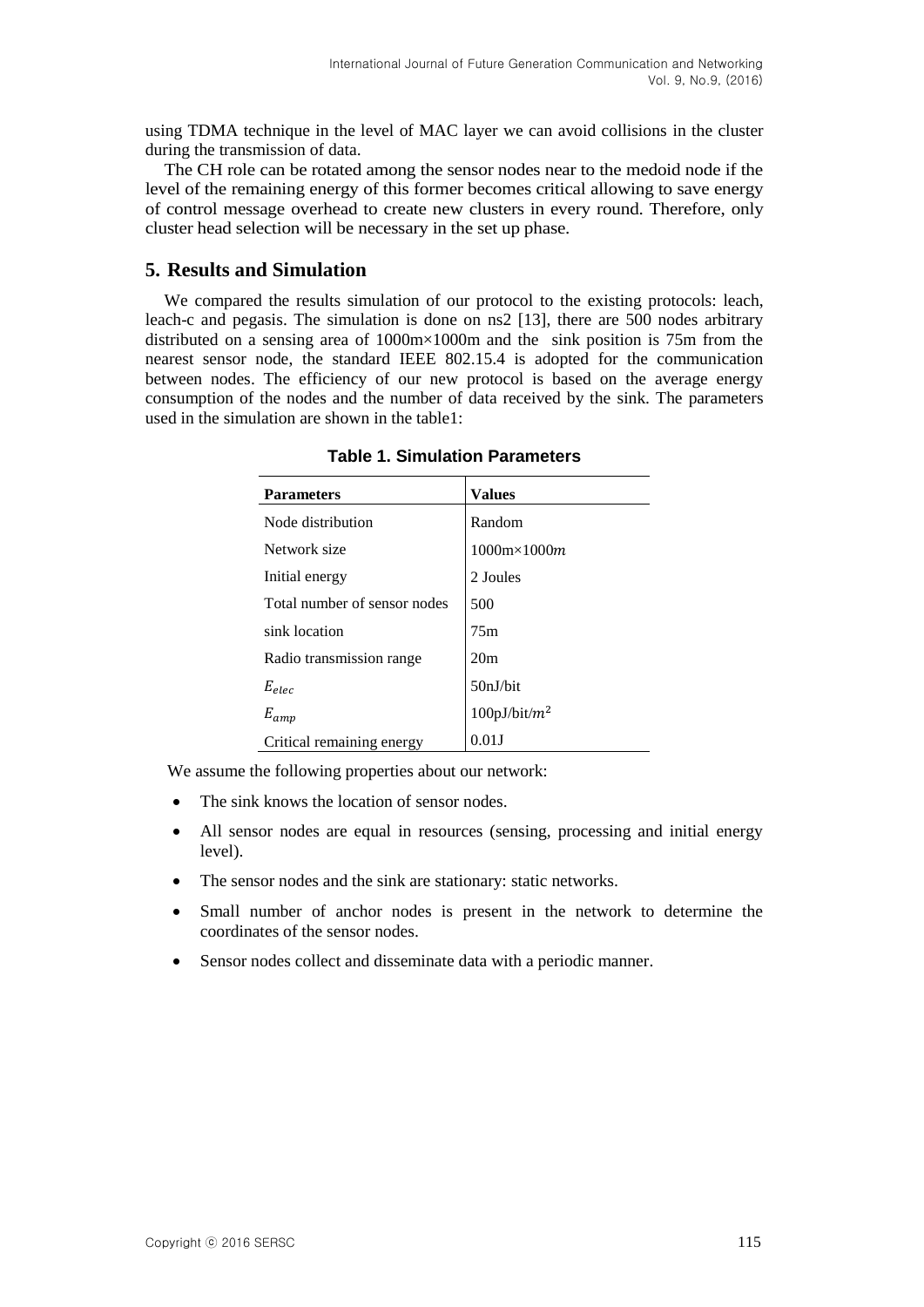using TDMA technique in the level of MAC layer we can avoid collisions in the cluster during the transmission of data.

The CH role can be rotated among the sensor nodes near to the medoid node if the level of the remaining energy of this former becomes critical allowing to save energy of control message overhead to create new clusters in every round. Therefore, only cluster head selection will be necessary in the set up phase.

## **5. Results and Simulation**

We compared the results simulation of our protocol to the existing protocols: leach, leach-c and pegasis. The simulation is done on ns2 [13], there are 500 nodes arbitrary distributed on a sensing area of 1000m×1000m and the sink position is 75m from the nearest sensor node, the standard IEEE 802.15.4 is adopted for the communication between nodes. The efficiency of our new protocol is based on the average energy consumption of the nodes and the number of data received by the sink. The parameters used in the simulation are shown in the table1:

| <b>Parameters</b>            | <b>Values</b>            |
|------------------------------|--------------------------|
| Node distribution            | Random                   |
| Network size                 | $1000m \times 1000m$     |
| Initial energy               | 2 Joules                 |
| Total number of sensor nodes | 500                      |
| sink location                | 75m                      |
| Radio transmission range     | 20 <sub>m</sub>          |
| $E_{elec}$                   | 50nJ/bit                 |
| $E_{amp}$                    | 100pJ/bit/m <sup>2</sup> |
| Critical remaining energy    | 0.01                     |

**Table 1. Simulation Parameters**

We assume the following properties about our network:

- The sink knows the location of sensor nodes.
- All sensor nodes are equal in resources (sensing, processing and initial energy level).
- The sensor nodes and the sink are stationary: static networks.
- Small number of anchor nodes is present in the network to determine the coordinates of the sensor nodes.
- Sensor nodes collect and disseminate data with a periodic manner.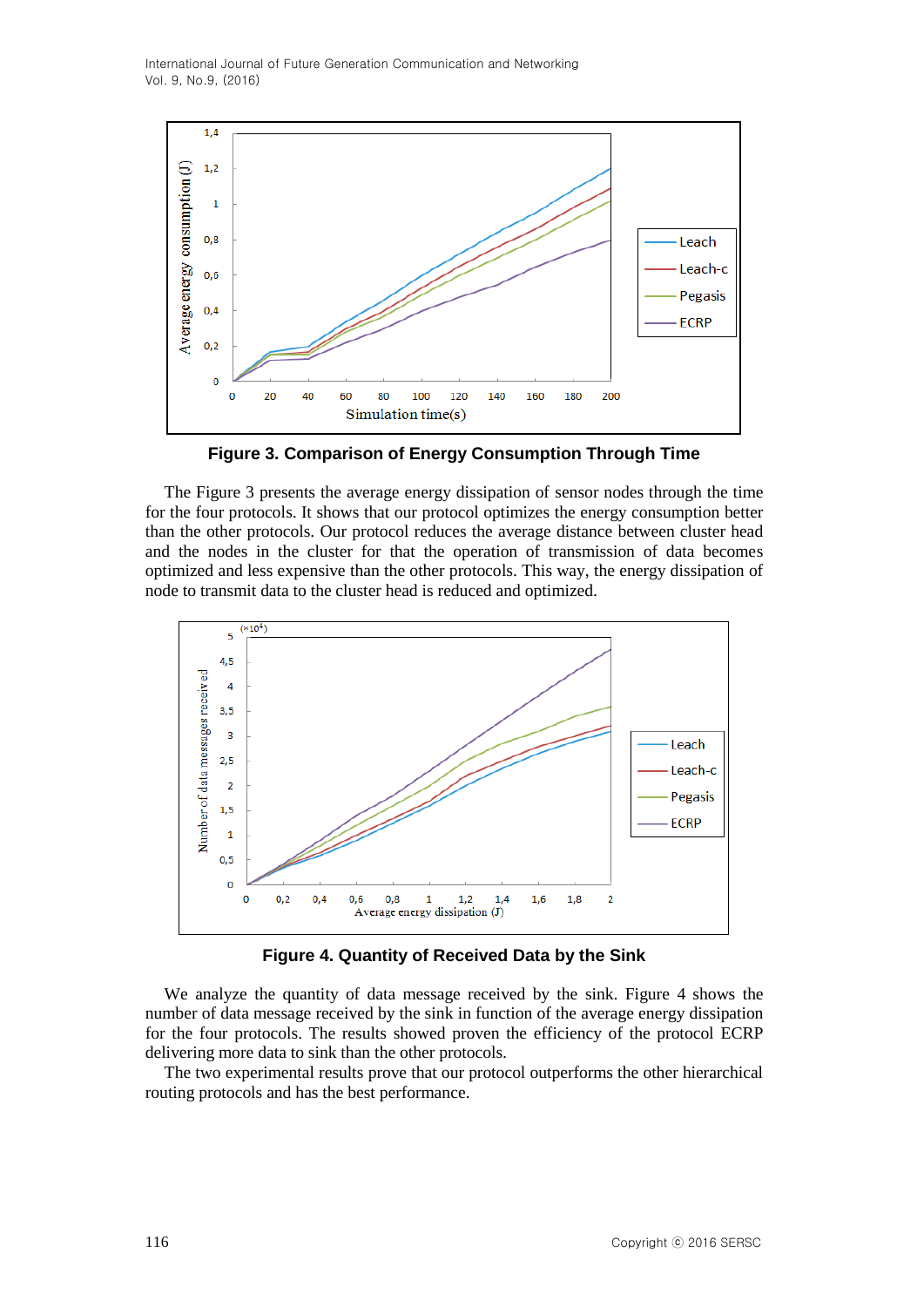

**Figure 3. Comparison of Energy Consumption Through Time**

The Figure 3 presents the average energy dissipation of sensor nodes through the time for the four protocols. It shows that our protocol optimizes the energy consumption better than the other protocols. Our protocol reduces the average distance between cluster head and the nodes in the cluster for that the operation of transmission of data becomes optimized and less expensive than the other protocols. This way, the energy dissipation of node to transmit data to the cluster head is reduced and optimized.



**Figure 4. Quantity of Received Data by the Sink**

We analyze the quantity of data message received by the sink. Figure 4 shows the number of data message received by the sink in function of the average energy dissipation for the four protocols. The results showed proven the efficiency of the protocol ECRP delivering more data to sink than the other protocols.

The two experimental results prove that our protocol outperforms the other hierarchical routing protocols and has the best performance.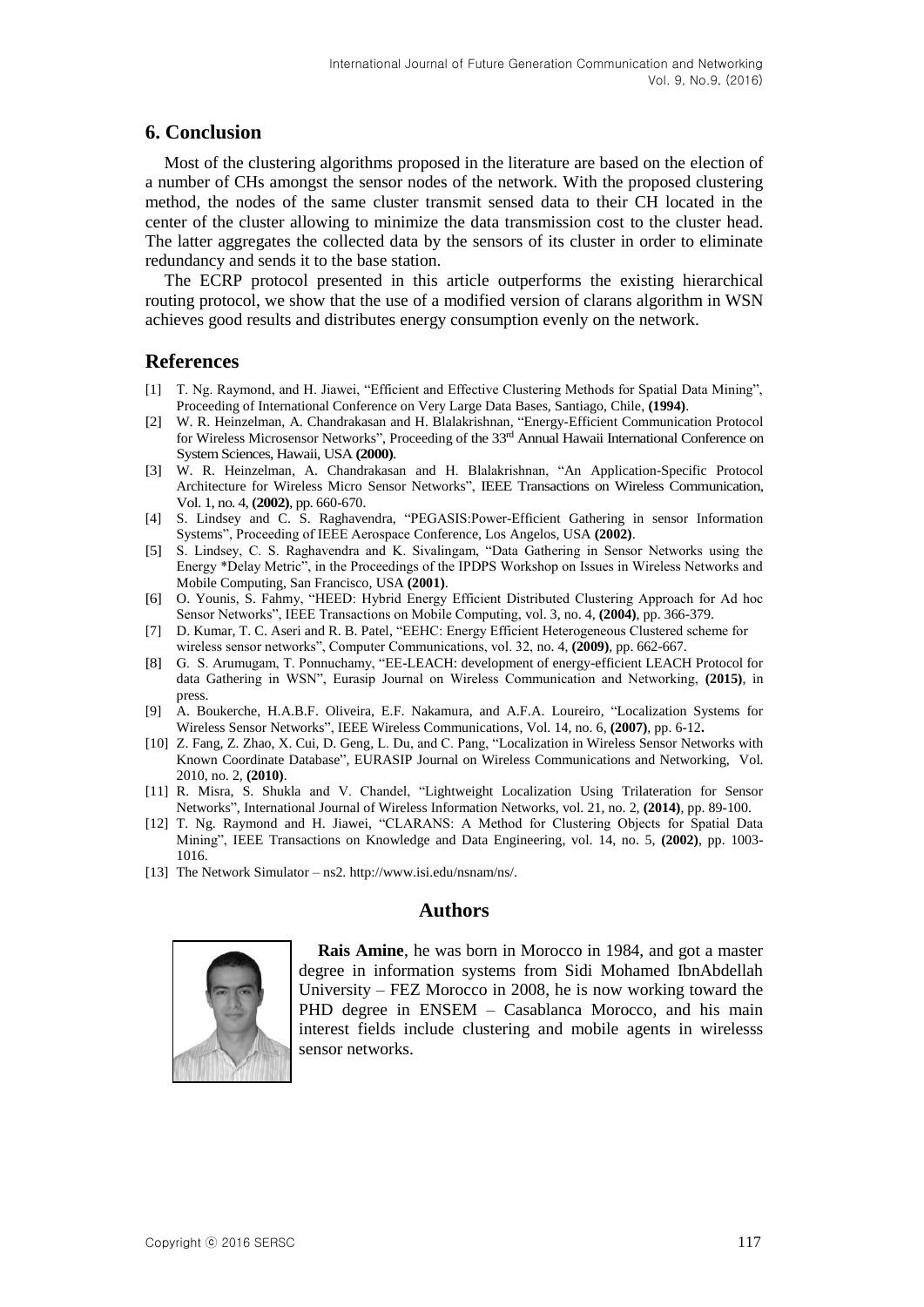## **6. Conclusion**

Most of the clustering algorithms proposed in the literature are based on the election of a number of CHs amongst the sensor nodes of the network. With the proposed clustering method, the nodes of the same cluster transmit sensed data to their CH located in the center of the cluster allowing to minimize the data transmission cost to the cluster head. The latter aggregates the collected data by the sensors of its cluster in order to eliminate redundancy and sends it to the base station.

The ECRP protocol presented in this article outperforms the existing hierarchical routing protocol, we show that the use of a modified version of clarans algorithm in WSN achieves good results and distributes energy consumption evenly on the network.

## **References**

- [1] T. Ng. Raymond, and H. Jiawei, "Efficient and Effective Clustering Methods for Spatial Data Mining", Proceeding of International Conference on Very Large Data Bases, Santiago, Chile, **(1994)**.
- [2] W. R. Heinzelman, A. Chandrakasan and H. Blalakrishnan, "Energy-Efficient Communication Protocol for Wireless Microsensor Networks", Proceeding of the 33<sup>rd</sup> Annual Hawaii International Conference on System Sciences, Hawaii, USA **(2000)**.
- [3] W. R. Heinzelman, A. Chandrakasan and H. Blalakrishnan, "An Application-Specific Protocol Architecture for Wireless Micro Sensor Networks", IEEE Transactions on Wireless Communication, Vol. 1, no. 4, **(2002)**, pp. 660-670.
- [4] S. Lindsey and C. S. Raghavendra, "PEGASIS:Power-Efficient Gathering in sensor Information Systems", Proceeding of IEEE Aerospace Conference, Los Angelos, USA **(2002)**.
- [5] S. Lindsey, C. S. Raghavendra and K. Sivalingam, "Data Gathering in Sensor Networks using the Energy \*Delay Metric", in the Proceedings of the IPDPS Workshop on Issues in Wireless Networks and Mobile Computing, San Francisco, USA **(2001)**.
- [6] O. Younis, S. Fahmy, "HEED: Hybrid Energy Efficient Distributed Clustering Approach for Ad hoc Sensor Networks", IEEE Transactions on Mobile Computing, vol. 3, no. 4, **(2004)**, pp. 366-379.
- [7] D. Kumar, T. C. Aseri and R. B. Patel, "EEHC: Energy Efficient Heterogeneous Clustered scheme for wireless sensor networks", Computer Communications, vol. 32, no. 4, **(2009)**, pp. 662-667.
- [8] G. S. Arumugam, T. Ponnuchamy, "EE-LEACH: development of energy-efficient LEACH Protocol for data Gathering in WSN", Eurasip Journal on Wireless Communication and Networking, **(2015)**, in press.
- [9] A. [Boukerche,](http://ieeexplore.ieee.org/search/searchresult.jsp?searchWithin=%22Authors%22:.QT.Azzedine%20Boukerche.QT.&newsearch=true) [H.A.B.F.](http://ieeexplore.ieee.org/search/searchresult.jsp?searchWithin=%22Authors%22:.QT.Horacio%20A.%20B.%20F.%20Oliveira.QT.&newsearch=true) Oliveira, E.F. Nakamura, and A.F.A. [Loureiro, "Loc](http://ieeexplore.ieee.org/search/searchresult.jsp?searchWithin=%22Authors%22:.QT.Antonio%20A.%20F.%20Loureiro.QT.&newsearch=true)alization Systems for Wireless Sensor Networks"[, IEEE Wireless Communications,](http://ieeexplore.ieee.org/xpl/RecentIssue.jsp?punumber=7742) Vol. 14, no. 6, **(2007)**, pp. 6-12**.**
- [10] Z. Fang, Z. Zhao, X. Cui, D. Geng, L. Du, and C. Pang, "Localization in Wireless Sensor Networks with Known Coordinate Database", EURASIP Journal on Wireless [Communications](http://link.springer.com/journal/13638) and Networking, Vol. 2010, no. 2, **(2010)**.
- [11] R. Misra, S. Shukla and V. Chandel, "Lightweight Localization Using Trilateration for Sensor Networks", [International](http://link.springer.com/journal/10776) Journal of Wireless Information Networks, vol. 21, no. 2, **(2014)**, pp. 89-100.
- [12] T. Ng. Raymond and H. Jiawei, "CLARANS: A Method for Clustering Objects for Spatial Data Mining", [IEEE Transactions on Knowledge and Data Engineering,](http://ieeexplore.ieee.org/xpl/RecentIssue.jsp?punumber=69) vol. 14, no. 5, **(2002)**, pp. 1003- 1016.
- [13] The Network Simulator ns2[. http://www.isi.edu/nsnam/ns/.](http://www.isi.edu/nsnam/ns/)

## **Authors**



**Rais Amine**, he was born in Morocco in 1984, and got a master degree in information systems from Sidi Mohamed IbnAbdellah University – FEZ Morocco in 2008, he is now working toward the PHD degree in ENSEM – Casablanca Morocco, and his main interest fields include clustering and mobile agents in wirelesss sensor networks.